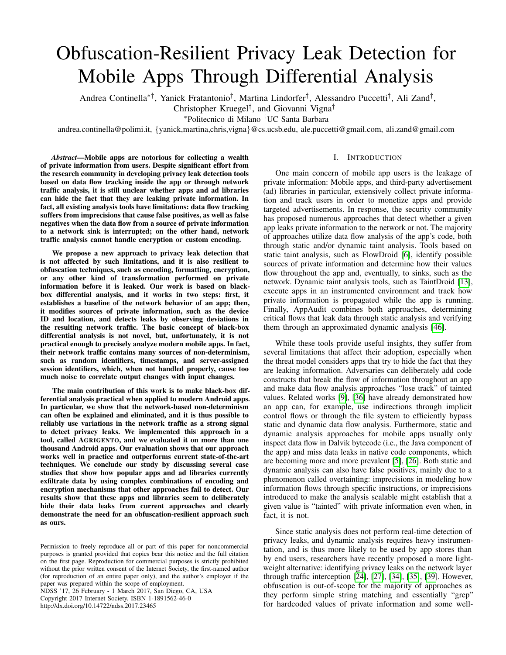# Obfuscation-Resilient Privacy Leak Detection for Mobile Apps Through Differential Analysis

Andrea Continella<sup>∗†</sup>, Yanick Fratantonio<sup>†</sup>, Martina Lindorfer<sup>†</sup>, Alessandro Puccetti<sup>†</sup>, Ali Zand<sup>†</sup>,

Christopher Kruegel† , and Giovanni Vigna†

<sup>∗</sup>Politecnico di Milano †UC Santa Barbara

andrea.continella@polimi.it, {yanick,martina,chris,vigna}@cs.ucsb.edu, ale.puccetti@gmail.com, ali.zand@gmail.com

*Abstract*—Mobile apps are notorious for collecting a wealth of private information from users. Despite significant effort from the research community in developing privacy leak detection tools based on data flow tracking inside the app or through network traffic analysis, it is still unclear whether apps and ad libraries can hide the fact that they are leaking private information. In fact, all existing analysis tools have limitations: data flow tracking suffers from imprecisions that cause false positives, as well as false negatives when the data flow from a source of private information to a network sink is interrupted; on the other hand, network traffic analysis cannot handle encryption or custom encoding.

We propose a new approach to privacy leak detection that is not affected by such limitations, and it is also resilient to obfuscation techniques, such as encoding, formatting, encryption, or any other kind of transformation performed on private information before it is leaked. Our work is based on blackbox differential analysis, and it works in two steps: first, it establishes a baseline of the network behavior of an app; then, it modifies sources of private information, such as the device ID and location, and detects leaks by observing deviations in the resulting network traffic. The basic concept of black-box differential analysis is not novel, but, unfortunately, it is not practical enough to precisely analyze modern mobile apps. In fact, their network traffic contains many sources of non-determinism, such as random identifiers, timestamps, and server-assigned session identifiers, which, when not handled properly, cause too much noise to correlate output changes with input changes.

The main contribution of this work is to make black-box differential analysis practical when applied to modern Android apps. In particular, we show that the network-based non-determinism can often be explained and eliminated, and it is thus possible to reliably use variations in the network traffic as a strong signal to detect privacy leaks. We implemented this approach in a tool, called AGRIGENTO, and we evaluated it on more than one thousand Android apps. Our evaluation shows that our approach works well in practice and outperforms current state-of-the-art techniques. We conclude our study by discussing several case studies that show how popular apps and ad libraries currently exfiltrate data by using complex combinations of encoding and encryption mechanisms that other approaches fail to detect. Our results show that these apps and libraries seem to deliberately hide their data leaks from current approaches and clearly demonstrate the need for an obfuscation-resilient approach such as ours.

NDSS '17, 26 February - 1 March 2017, San Diego, CA, USA Copyright 2017 Internet Society, ISBN 1-1891562-46-0 http://dx.doi.org/10.14722/ndss.2017.23465

## I. INTRODUCTION

One main concern of mobile app users is the leakage of private information: Mobile apps, and third-party advertisement (ad) libraries in particular, extensively collect private information and track users in order to monetize apps and provide targeted advertisements. In response, the security community has proposed numerous approaches that detect whether a given app leaks private information to the network or not. The majority of approaches utilize data flow analysis of the app's code, both through static and/or dynamic taint analysis. Tools based on static taint analysis, such as FlowDroid [\[6\]](#page-13-0), identify possible sources of private information and determine how their values flow throughout the app and, eventually, to sinks, such as the network. Dynamic taint analysis tools, such as TaintDroid [\[13\]](#page-13-1), execute apps in an instrumented environment and track how private information is propagated while the app is running. Finally, AppAudit combines both approaches, determining critical flows that leak data through static analysis and verifying them through an approximated dynamic analysis [\[46\]](#page-14-0).

While these tools provide useful insights, they suffer from several limitations that affect their adoption, especially when the threat model considers apps that try to hide the fact that they are leaking information. Adversaries can deliberately add code constructs that break the flow of information throughout an app and make data flow analysis approaches "lose track" of tainted values. Related works [\[9\]](#page-13-2), [\[36\]](#page-14-1) have already demonstrated how an app can, for example, use indirections through implicit control flows or through the file system to efficiently bypass static and dynamic data flow analysis. Furthermore, static and dynamic analysis approaches for mobile apps usually only inspect data flow in Dalvik bytecode (i.e., the Java component of the app) and miss data leaks in native code components, which are becoming more and more prevalent [\[5\]](#page-13-3), [\[26\]](#page-14-2). Both static and dynamic analysis can also have false positives, mainly due to a phenomenon called overtainting: imprecisions in modeling how information flows through specific instructions, or imprecisions introduced to make the analysis scalable might establish that a given value is "tainted" with private information even when, in fact, it is not.

Since static analysis does not perform real-time detection of privacy leaks, and dynamic analysis requires heavy instrumentation, and is thus more likely to be used by app stores than by end users, researchers have recently proposed a more lightweight alternative: identifying privacy leaks on the network layer through traffic interception [\[24\]](#page-14-3), [\[27\]](#page-14-4), [\[34\]](#page-14-5), [\[35\]](#page-14-6), [\[39\]](#page-14-7). However, obfuscation is out-of-scope for the majority of approaches as they perform simple string matching and essentially "grep" for hardcoded values of private information and some well-

Permission to freely reproduce all or part of this paper for noncommercial purposes is granted provided that copies bear this notice and the full citation on the first page. Reproduction for commercial purposes is strictly prohibited without the prior written consent of the Internet Society, the first-named author (for reproduction of an entire paper only), and the author's employer if the paper was prepared within the scope of employment.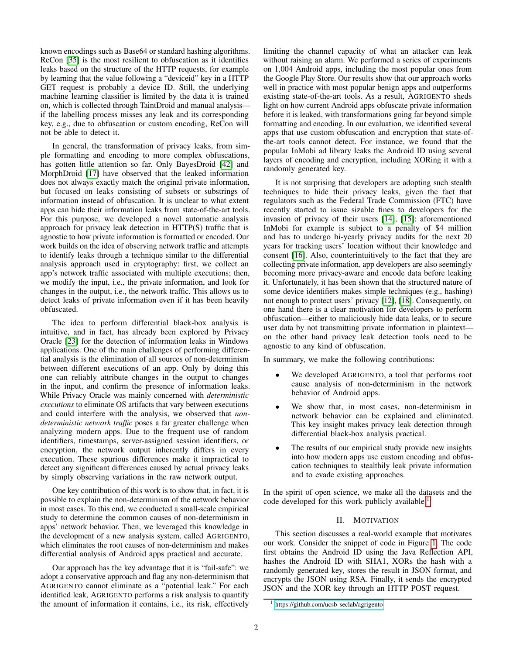known encodings such as Base64 or standard hashing algorithms. ReCon [\[35\]](#page-14-6) is the most resilient to obfuscation as it identifies leaks based on the structure of the HTTP requests, for example by learning that the value following a "deviceid" key in a HTTP GET request is probably a device ID. Still, the underlying machine learning classifier is limited by the data it is trained on, which is collected through TaintDroid and manual analysis if the labelling process misses any leak and its corresponding key, e.g., due to obfuscation or custom encoding, ReCon will not be able to detect it.

In general, the transformation of privacy leaks, from simple formatting and encoding to more complex obfuscations, has gotten little attention so far. Only BayesDroid [\[42\]](#page-14-8) and MorphDroid [\[17\]](#page-14-9) have observed that the leaked information does not always exactly match the original private information, but focused on leaks consisting of subsets or substrings of information instead of obfuscation. It is unclear to what extent apps can hide their information leaks from state-of-the-art tools. For this purpose, we developed a novel automatic analysis approach for privacy leak detection in HTTP(S) traffic that is agnostic to how private information is formatted or encoded. Our work builds on the idea of observing network traffic and attempts to identify leaks through a technique similar to the differential analysis approach used in cryptography: first, we collect an app's network traffic associated with multiple executions; then, we modify the input, i.e., the private information, and look for changes in the output, i.e., the network traffic. This allows us to detect leaks of private information even if it has been heavily obfuscated.

The idea to perform differential black-box analysis is intuitive, and in fact, has already been explored by Privacy Oracle [\[23\]](#page-14-10) for the detection of information leaks in Windows applications. One of the main challenges of performing differential analysis is the elimination of all sources of non-determinism between different executions of an app. Only by doing this one can reliably attribute changes in the output to changes in the input, and confirm the presence of information leaks. While Privacy Oracle was mainly concerned with *deterministic executions* to eliminate OS artifacts that vary between executions and could interfere with the analysis, we observed that *nondeterministic network traffic* poses a far greater challenge when analyzing modern apps. Due to the frequent use of random identifiers, timestamps, server-assigned session identifiers, or encryption, the network output inherently differs in every execution. These spurious differences make it impractical to detect any significant differences caused by actual privacy leaks by simply observing variations in the raw network output.

One key contribution of this work is to show that, in fact, it is possible to explain the non-determinism of the network behavior in most cases. To this end, we conducted a small-scale empirical study to determine the common causes of non-determinism in apps' network behavior. Then, we leveraged this knowledge in the development of a new analysis system, called AGRIGENTO, which eliminates the root causes of non-determinism and makes differential analysis of Android apps practical and accurate.

Our approach has the key advantage that it is "fail-safe": we adopt a conservative approach and flag any non-determinism that AGRIGENTO cannot eliminate as a "potential leak." For each identified leak, AGRIGENTO performs a risk analysis to quantify the amount of information it contains, i.e., its risk, effectively limiting the channel capacity of what an attacker can leak without raising an alarm. We performed a series of experiments on 1,004 Android apps, including the most popular ones from the Google Play Store. Our results show that our approach works well in practice with most popular benign apps and outperforms existing state-of-the-art tools. As a result, AGRIGENTO sheds light on how current Android apps obfuscate private information before it is leaked, with transformations going far beyond simple formatting and encoding. In our evaluation, we identified several apps that use custom obfuscation and encryption that state-ofthe-art tools cannot detect. For instance, we found that the popular InMobi ad library leaks the Android ID using several layers of encoding and encryption, including XORing it with a randomly generated key.

It is not surprising that developers are adopting such stealth techniques to hide their privacy leaks, given the fact that regulators such as the Federal Trade Commission (FTC) have recently started to issue sizable fines to developers for the invasion of privacy of their users [\[14\]](#page-14-11), [\[15\]](#page-14-12): aforementioned InMobi for example is subject to a penalty of \$4 million and has to undergo bi-yearly privacy audits for the next 20 years for tracking users' location without their knowledge and consent [\[16\]](#page-14-13). Also, counterintuitively to the fact that they are collecting private information, app developers are also seemingly becoming more privacy-aware and encode data before leaking it. Unfortunately, it has been shown that the structured nature of some device identifiers makes simple techniques (e.g., hashing) not enough to protect users' privacy [\[12\]](#page-13-4), [\[18\]](#page-14-14). Consequently, on one hand there is a clear motivation for developers to perform obfuscation—either to maliciously hide data leaks, or to secure user data by not transmitting private information in plaintext on the other hand privacy leak detection tools need to be agnostic to any kind of obfuscation.

In summary, we make the following contributions:

- We developed AGRIGENTO, a tool that performs root cause analysis of non-determinism in the network behavior of Android apps.
- We show that, in most cases, non-determinism in network behavior can be explained and eliminated. This key insight makes privacy leak detection through differential black-box analysis practical.
- The results of our empirical study provide new insights into how modern apps use custom encoding and obfuscation techniques to stealthily leak private information and to evade existing approaches.

In the spirit of open science, we make all the datasets and the code developed for this work publicly available.<sup>[1](#page-1-0)</sup>

# II. MOTIVATION

This section discusses a real-world example that motivates our work. Consider the snippet of code in Figure [1.](#page-2-0) The code first obtains the Android ID using the Java Reflection API, hashes the Android ID with SHA1, XORs the hash with a randomly generated key, stores the result in JSON format, and encrypts the JSON using RSA. Finally, it sends the encrypted JSON and the XOR key through an HTTP POST request.

<span id="page-1-0"></span><sup>1</sup> <https://github.com/ucsb-seclab/agrigento>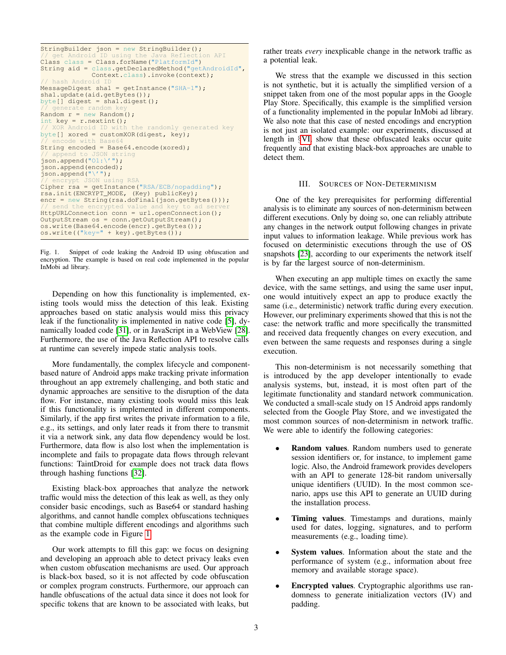```
StringBuilder json = new StringBuilder();
// get Android ID using the Java Reflection API
Class class = Class.forName("PlatformId")
String aid = class.getDeclaredMethod("getAndroidId",
               Context.class).invoke(context);
 / hash Android I
MessageDiqest shall = qetInstance("SHA-1");shal.update(aid.getBytes());
byte[] digest = shal.digest();
     enerate rand
Random r = new Random();
int key = r.nextint();<br>// XOR Android ID with the randomly generated key
byte[] xored = customXOR(digest, key);<br>// encode with Base64
String encoded = Base64.encode(xored);
// append to JSON string<br>json.append("O1:\'");
json.append(encoded);
json.append("\'");<br>// encrypt JSON using RSA<br>Cipher rsa = getInstance("RSA/ECB/nopadding");
rsa.init(ENCRYPT_MODE, (Key) publicKey);
encr = new String(rsa.doFinal(json.getBytes()));<br>// send the encrypted value and key to ad server
HttpURLConnection conn = url.openConnection();
OutputStream os = conn.getOutputStream();
os.write(Base64.encode(encr).getBytes());
os.write(("key=" + key).getBytes());
```
<span id="page-2-0"></span>Fig. 1. Snippet of code leaking the Android ID using obfuscation and encryption. The example is based on real code implemented in the popular InMobi ad library.

Depending on how this functionality is implemented, existing tools would miss the detection of this leak. Existing approaches based on static analysis would miss this privacy leak if the functionality is implemented in native code [\[5\]](#page-13-3), dynamically loaded code [\[31\]](#page-14-15), or in JavaScript in a WebView [\[28\]](#page-14-16). Furthermore, the use of the Java Reflection API to resolve calls at runtime can severely impede static analysis tools.

More fundamentally, the complex lifecycle and componentbased nature of Android apps make tracking private information throughout an app extremely challenging, and both static and dynamic approaches are sensitive to the disruption of the data flow. For instance, many existing tools would miss this leak if this functionality is implemented in different components. Similarly, if the app first writes the private information to a file, e.g., its settings, and only later reads it from there to transmit it via a network sink, any data flow dependency would be lost. Furthermore, data flow is also lost when the implementation is incomplete and fails to propagate data flows through relevant functions: TaintDroid for example does not track data flows through hashing functions [\[32\]](#page-14-17).

Existing black-box approaches that analyze the network traffic would miss the detection of this leak as well, as they only consider basic encodings, such as Base64 or standard hashing algorithms, and cannot handle complex obfuscations techniques that combine multiple different encodings and algorithms such as the example code in Figure [1.](#page-2-0)

Our work attempts to fill this gap: we focus on designing and developing an approach able to detect privacy leaks even when custom obfuscation mechanisms are used. Our approach is black-box based, so it is not affected by code obfuscation or complex program constructs. Furthermore, our approach can handle obfuscations of the actual data since it does not look for specific tokens that are known to be associated with leaks, but rather treats *every* inexplicable change in the network traffic as a potential leak.

We stress that the example we discussed in this section is not synthetic, but it is actually the simplified version of a snippet taken from one of the most popular apps in the Google Play Store. Specifically, this example is the simplified version of a functionality implemented in the popular InMobi ad library. We also note that this case of nested encodings and encryption is not just an isolated example: our experiments, discussed at length in §[VI,](#page-7-0) show that these obfuscated leaks occur quite frequently and that existing black-box approaches are unable to detect them.

## III. SOURCES OF NON-DETERMINISM

<span id="page-2-1"></span>One of the key prerequisites for performing differential analysis is to eliminate any sources of non-determinism between different executions. Only by doing so, one can reliably attribute any changes in the network output following changes in private input values to information leakage. While previous work has focused on deterministic executions through the use of OS snapshots [\[23\]](#page-14-10), according to our experiments the network itself is by far the largest source of non-determinism.

When executing an app multiple times on exactly the same device, with the same settings, and using the same user input, one would intuitively expect an app to produce exactly the same (i.e., deterministic) network traffic during every execution. However, our preliminary experiments showed that this is not the case: the network traffic and more specifically the transmitted and received data frequently changes on every execution, and even between the same requests and responses during a single execution.

This non-determinism is not necessarily something that is introduced by the app developer intentionally to evade analysis systems, but, instead, it is most often part of the legitimate functionality and standard network communication. We conducted a small-scale study on 15 Android apps randomly selected from the Google Play Store, and we investigated the most common sources of non-determinism in network traffic. We were able to identify the following categories:

- **Random values.** Random numbers used to generate session identifiers or, for instance, to implement game logic. Also, the Android framework provides developers with an API to generate 128-bit random universally unique identifiers (UUID). In the most common scenario, apps use this API to generate an UUID during the installation process.
- Timing values. Timestamps and durations, mainly used for dates, logging, signatures, and to perform measurements (e.g., loading time).
- System values. Information about the state and the performance of system (e.g., information about free memory and available storage space).
- Encrypted values. Cryptographic algorithms use randomness to generate initialization vectors (IV) and padding.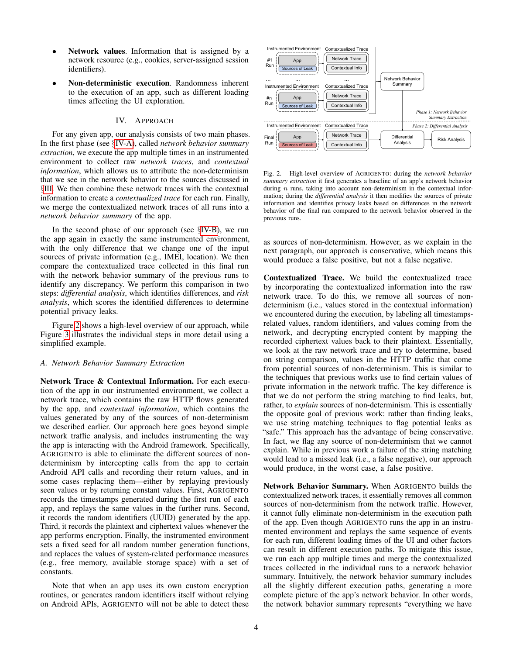- Network values. Information that is assigned by a network resource (e.g., cookies, server-assigned session identifiers).
- Non-deterministic execution. Randomness inherent to the execution of an app, such as different loading times affecting the UI exploration.

#### IV. APPROACH

For any given app, our analysis consists of two main phases. In the first phase (see §[IV-A\)](#page-3-0), called *network behavior summary extraction*, we execute the app multiple times in an instrumented environment to collect raw *network traces*, and *contextual information*, which allows us to attribute the non-determinism that we see in the network behavior to the sources discussed in §[III.](#page-2-1) We then combine these network traces with the contextual information to create a *contextualized trace* for each run. Finally, we merge the contextualized network traces of all runs into a *network behavior summary* of the app.

In the second phase of our approach (see §[IV-B\)](#page-4-0), we run the app again in exactly the same instrumented environment, with the only difference that we change one of the input sources of private information (e.g., IMEI, location). We then compare the contextualized trace collected in this final run with the network behavior summary of the previous runs to identify any discrepancy. We perform this comparison in two steps: *differential analysis*, which identifies differences, and *risk analysis*, which scores the identified differences to determine potential privacy leaks.

Figure [2](#page-3-1) shows a high-level overview of our approach, while Figure [3](#page-4-1) illustrates the individual steps in more detail using a simplified example.

## <span id="page-3-0"></span>*A. Network Behavior Summary Extraction*

Network Trace & Contextual Information. For each execution of the app in our instrumented environment, we collect a network trace, which contains the raw HTTP flows generated by the app, and *contextual information*, which contains the values generated by any of the sources of non-determinism we described earlier. Our approach here goes beyond simple network traffic analysis, and includes instrumenting the way the app is interacting with the Android framework. Specifically, AGRIGENTO is able to eliminate the different sources of nondeterminism by intercepting calls from the app to certain Android API calls and recording their return values, and in some cases replacing them—either by replaying previously seen values or by returning constant values. First, AGRIGENTO records the timestamps generated during the first run of each app, and replays the same values in the further runs. Second, it records the random identifiers (UUID) generated by the app. Third, it records the plaintext and ciphertext values whenever the app performs encryption. Finally, the instrumented environment sets a fixed seed for all random number generation functions, and replaces the values of system-related performance measures (e.g., free memory, available storage space) with a set of constants.

Note that when an app uses its own custom encryption routines, or generates random identifiers itself without relying on Android APIs, AGRIGENTO will not be able to detect these



<span id="page-3-1"></span>Fig. 2. High-level overview of AGRIGENTO: during the *network behavior summary extraction* it first generates a baseline of an app's network behavior during  $n$  runs, taking into account non-determinism in the contextual information; during the *differential analysis* it then modifies the sources of private information and identifies privacy leaks based on differences in the network behavior of the final run compared to the network behavior observed in the previous runs.

as sources of non-determinism. However, as we explain in the next paragraph, our approach is conservative, which means this would produce a false positive, but not a false negative.

Contextualized Trace. We build the contextualized trace by incorporating the contextualized information into the raw network trace. To do this, we remove all sources of nondeterminism (i.e., values stored in the contextual information) we encountered during the execution, by labeling all timestampsrelated values, random identifiers, and values coming from the network, and decrypting encrypted content by mapping the recorded ciphertext values back to their plaintext. Essentially, we look at the raw network trace and try to determine, based on string comparison, values in the HTTP traffic that come from potential sources of non-determinism. This is similar to the techniques that previous works use to find certain values of private information in the network traffic. The key difference is that we do not perform the string matching to find leaks, but, rather, to *explain* sources of non-determinism. This is essentially the opposite goal of previous work: rather than finding leaks, we use string matching techniques to flag potential leaks as "safe." This approach has the advantage of being conservative. In fact, we flag any source of non-determinism that we cannot explain. While in previous work a failure of the string matching would lead to a missed leak (i.e., a false negative), our approach would produce, in the worst case, a false positive.

Network Behavior Summary. When AGRIGENTO builds the contextualized network traces, it essentially removes all common sources of non-determinism from the network traffic. However, it cannot fully eliminate non-determinism in the execution path of the app. Even though AGRIGENTO runs the app in an instrumented environment and replays the same sequence of events for each run, different loading times of the UI and other factors can result in different execution paths. To mitigate this issue, we run each app multiple times and merge the contextualized traces collected in the individual runs to a network behavior summary. Intuitively, the network behavior summary includes all the slightly different execution paths, generating a more complete picture of the app's network behavior. In other words, the network behavior summary represents "everything we have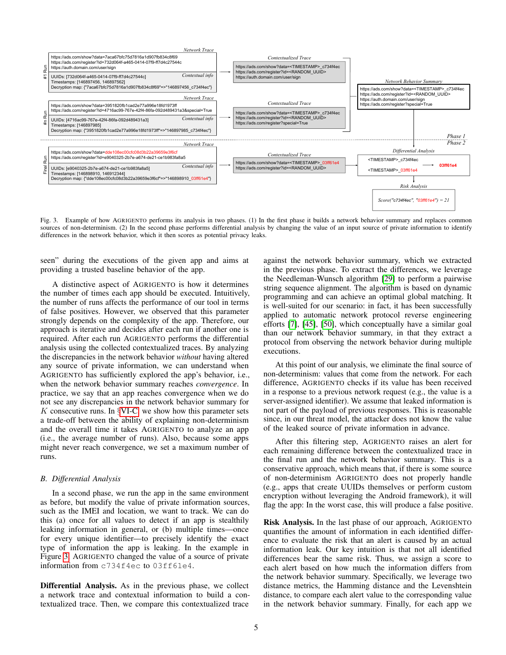

<span id="page-4-1"></span>Fig. 3. Example of how AGRIGENTO performs its analysis in two phases. (1) In the first phase it builds a network behavior summary and replaces common sources of non-determinism. (2) In the second phase performs differential analysis by changing the value of an input source of private information to identify differences in the network behavior, which it then scores as potential privacy leaks.

seen" during the executions of the given app and aims at providing a trusted baseline behavior of the app.

A distinctive aspect of AGRIGENTO is how it determines the number of times each app should be executed. Intuitively, the number of runs affects the performance of our tool in terms of false positives. However, we observed that this parameter strongly depends on the complexity of the app. Therefore, our approach is iterative and decides after each run if another one is required. After each run AGRIGENTO performs the differential analysis using the collected contextualized traces. By analyzing the discrepancies in the network behavior *without* having altered any source of private information, we can understand when AGRIGENTO has sufficiently explored the app's behavior, i.e., when the network behavior summary reaches *convergence*. In practice, we say that an app reaches convergence when we do not see any discrepancies in the network behavior summary for K consecutive runs. In  $\S$ [VI-C,](#page-8-0) we show how this parameter sets a trade-off between the ability of explaining non-determinism and the overall time it takes AGRIGENTO to analyze an app (i.e., the average number of runs). Also, because some apps might never reach convergence, we set a maximum number of runs.

## <span id="page-4-0"></span>*B. Differential Analysis*

In a second phase, we run the app in the same environment as before, but modify the value of private information sources, such as the IMEI and location, we want to track. We can do this (a) once for all values to detect if an app is stealthily leaking information in general, or (b) multiple times—once for every unique identifier—to precisely identify the exact type of information the app is leaking. In the example in Figure [3,](#page-4-1) AGRIGENTO changed the value of a source of private information from c734f4ec to 03ff61e4.

Differential Analysis. As in the previous phase, we collect a network trace and contextual information to build a contextualized trace. Then, we compare this contextualized trace against the network behavior summary, which we extracted in the previous phase. To extract the differences, we leverage the Needleman-Wunsch algorithm [\[29\]](#page-14-18) to perform a pairwise string sequence alignment. The algorithm is based on dynamic programming and can achieve an optimal global matching. It is well-suited for our scenario: in fact, it has been successfully applied to automatic network protocol reverse engineering efforts [\[7\]](#page-13-5), [\[45\]](#page-14-19), [\[50\]](#page-14-20), which conceptually have a similar goal than our network behavior summary, in that they extract a protocol from observing the network behavior during multiple executions.

At this point of our analysis, we eliminate the final source of non-determinism: values that come from the network. For each difference, AGRIGENTO checks if its value has been received in a response to a previous network request (e.g., the value is a server-assigned identifier). We assume that leaked information is not part of the payload of previous responses. This is reasonable since, in our threat model, the attacker does not know the value of the leaked source of private information in advance.

After this filtering step, AGRIGENTO raises an alert for each remaining difference between the contextualized trace in the final run and the network behavior summary. This is a conservative approach, which means that, if there is some source of non-determinism AGRIGENTO does not properly handle (e.g., apps that create UUIDs themselves or perform custom encryption without leveraging the Android framework), it will flag the app: In the worst case, this will produce a false positive.

Risk Analysis. In the last phase of our approach, AGRIGENTO quantifies the amount of information in each identified difference to evaluate the risk that an alert is caused by an actual information leak. Our key intuition is that not all identified differences bear the same risk. Thus, we assign a score to each alert based on how much the information differs from the network behavior summary. Specifically, we leverage two distance metrics, the Hamming distance and the Levenshtein distance, to compare each alert value to the corresponding value in the network behavior summary. Finally, for each app we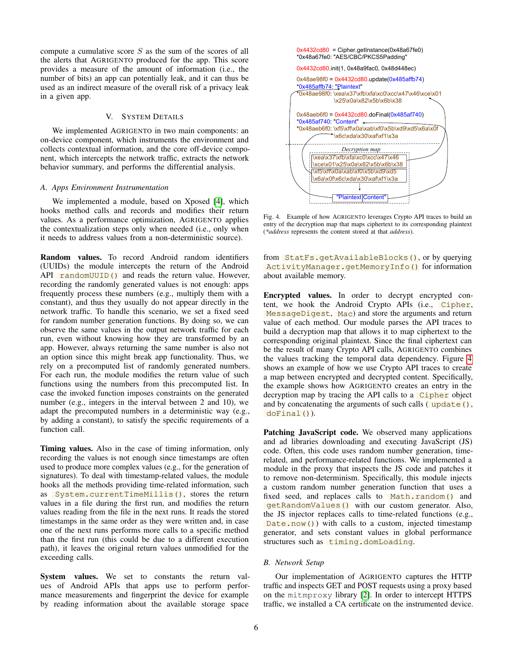compute a cumulative score  $S$  as the sum of the scores of all the alerts that AGRIGENTO produced for the app. This score provides a measure of the amount of information (i.e., the number of bits) an app can potentially leak, and it can thus be used as an indirect measure of the overall risk of a privacy leak in a given app.

## V. SYSTEM DETAILS

We implemented AGRIGENTO in two main components: an on-device component, which instruments the environment and collects contextual information, and the core off-device component, which intercepts the network traffic, extracts the network behavior summary, and performs the differential analysis.

#### *A. Apps Environment Instrumentation*

We implemented a module, based on Xposed [\[4\]](#page-13-6), which hooks method calls and records and modifies their return values. As a performance optimization, AGRIGENTO applies the contextualization steps only when needed (i.e., only when it needs to address values from a non-deterministic source).

Random values. To record Android random identifiers (UUIDs) the module intercepts the return of the Android API  $\Gamma$  randomUUID() and reads the return value. However, recording the randomly generated values is not enough: apps frequently process these numbers (e.g., multiply them with a constant), and thus they usually do not appear directly in the network traffic. To handle this scenario, we set a fixed seed for random number generation functions. By doing so, we can observe the same values in the output network traffic for each run, even without knowing how they are transformed by an app. However, always returning the same number is also not an option since this might break app functionality. Thus, we rely on a precomputed list of randomly generated numbers. For each run, the module modifies the return value of such functions using the numbers from this precomputed list. In case the invoked function imposes constraints on the generated number (e.g., integers in the interval between 2 and 10), we adapt the precomputed numbers in a deterministic way (e.g., by adding a constant), to satisfy the specific requirements of a function call.

Timing values. Also in the case of timing information, only recording the values is not enough since timestamps are often used to produce more complex values (e.g., for the generation of signatures). To deal with timestamp-related values, the module hooks all the methods providing time-related information, such as System.currentTimeMillis(), stores the return values in a file during the first run, and modifies the return values reading from the file in the next runs. It reads the stored timestamps in the same order as they were written and, in case one of the next runs performs more calls to a specific method than the first run (this could be due to a different execution path), it leaves the original return values unmodified for the exceeding calls.

System values. We set to constants the return values of Android APIs that apps use to perform performance measurements and fingerprint the device for example by reading information about the available storage space



<span id="page-5-0"></span>Fig. 4. Example of how AGRIGENTO leverages Crypto API traces to build an entry of the decryption map that maps ciphertext to its corresponding plaintext (*\*address* represents the content stored at that *address*).

from StatFs.getAvailableBlocks(), or by querying ActivityManager.getMemoryInfo() for information about available memory.

Encrypted values. In order to decrypt encrypted content, we hook the Android Crypto APIs (i.e., Cipher, MessageDigest, Mac) and store the arguments and return value of each method. Our module parses the API traces to build a decryption map that allows it to map ciphertext to the corresponding original plaintext. Since the final ciphertext can be the result of many Crypto API calls, AGRIGENTO combines the values tracking the temporal data dependency. Figure [4](#page-5-0) shows an example of how we use Crypto API traces to create a map between encrypted and decrypted content. Specifically, the example shows how AGRIGENTO creates an entry in the decryption map by tracing the API calls to a Cipher object and by concatenating the arguments of such calls  $(\mu_{\text{p}} \cdot \text{q} \cdot \text{q})$ , doFinal()).

Patching JavaScript code. We observed many applications and ad libraries downloading and executing JavaScript (JS) code. Often, this code uses random number generation, timerelated, and performance-related functions. We implemented a module in the proxy that inspects the JS code and patches it to remove non-determinism. Specifically, this module injects a custom random number generation function that uses a fixed seed, and replaces calls to Math.random() and getRandomValues() with our custom generator. Also, the JS injector replaces calls to time-related functions (e.g.,  $Date \cdot now()$  with calls to a custom, injected timestamp generator, and sets constant values in global performance structures such as timing.domLoading.

#### *B. Network Setup*

Our implementation of AGRIGENTO captures the HTTP traffic and inspects GET and POST requests using a proxy based on the mitmproxy library [\[2\]](#page-13-7). In order to intercept HTTPS traffic, we installed a CA certificate on the instrumented device.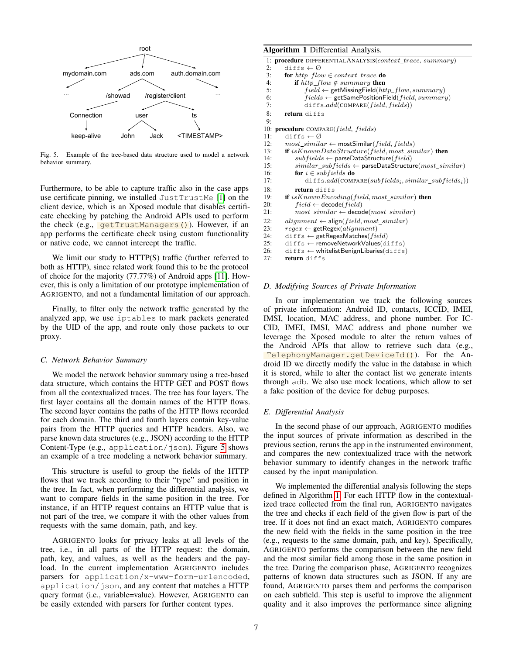

Fig. 5. Example of the tree-based data structure used to model a network behavior summary.

Furthermore, to be able to capture traffic also in the case apps use certificate pinning, we installed JustTrustMe [\[1\]](#page-13-8) on the client device, which is an Xposed module that disables certificate checking by patching the Android APIs used to perform the check (e.g., getTrustManagers()). However, if an app performs the certificate check using custom functionality or native code, we cannot intercept the traffic.

We limit our study to HTTP(S) traffic (further referred to both as HTTP), since related work found this to be the protocol of choice for the majority (77.77%) of Android apps [\[11\]](#page-13-9). However, this is only a limitation of our prototype implementation of AGRIGENTO, and not a fundamental limitation of our approach.

Finally, to filter only the network traffic generated by the analyzed app, we use iptables to mark packets generated by the UID of the app, and route only those packets to our proxy.

## *C. Network Behavior Summary*

We model the network behavior summary using a tree-based data structure, which contains the HTTP GET and POST flows from all the contextualized traces. The tree has four layers. The first layer contains all the domain names of the HTTP flows. The second layer contains the paths of the HTTP flows recorded for each domain. The third and fourth layers contain key-value pairs from the HTTP queries and HTTP headers. Also, we parse known data structures (e.g., JSON) according to the HTTP Content-Type (e.g., application/json). Figure [5](#page-6-0) shows an example of a tree modeling a network behavior summary.

This structure is useful to group the fields of the HTTP flows that we track according to their "type" and position in the tree. In fact, when performing the differential analysis, we want to compare fields in the same position in the tree. For instance, if an HTTP request contains an HTTP value that is not part of the tree, we compare it with the other values from requests with the same domain, path, and key.

AGRIGENTO looks for privacy leaks at all levels of the tree, i.e., in all parts of the HTTP request: the domain, path, key, and values, as well as the headers and the payload. In the current implementation AGRIGENTO includes parsers for application/x-www-form-urlencoded, application/json, and any content that matches a HTTP query format (i.e., variable=value). However, AGRIGENTO can be easily extended with parsers for further content types.

# Algorithm 1 Differential Analysis.

```
1: procedure DIFFERENTIALANALYSIS(context_trace, summary) 2: diffs \leftarrow \emptysetdiffs \leftarrow \emptyset3: for http_flow \in context_trace do<br>4: if http_flow \notin summary then
 4: if http_flow \notin summary then<br>5: field \leftarrow getMissingField(htifield \leftarrow \text{getMissingField}(http\_flow, summary)6: fields \leftarrow getSamePositionField(field, summary)<br>7: diffs.add(COMPARE(field, fields))
                diffs.add(COMPARE(field, fields))8: return diffs
 Q10: procedure COMPARE(field, fields)
11: diffs \leftarrow \emptyset12: most\_similar \leftarrow mostSimilar(field, fields)13: if is Known DataStructure(field, most\_similar) then
14: subfields \leftarrow parseDataStructure(field)15: similar\_subfields \leftarrow parseDataStructure(most\_similar)16: for i \in subfields do
17: diffs.add(COMPARE(subfields<sub>i</sub>, similar_subfields<sub>i</sub>))
18: return diffs
19: if isKnownEncoding(field, most\_similar) then
20: field \leftarrow decode(field)<br>21: most \ similar \leftarrow decomost\_similar \leftarrow decode(most\_similar)22: alignment \leftarrow align(field, most_similar)
23: regex \leftarrow getRegex(alignment)<br>24: diffs \leftarrow getRegexMatches(file)24: diffs ← getRegexMatches(field)<br>25: diffs ← removeNetworkValues(d)
         diffs ← removeNetworkValues(diffs)
26: diffs ← whitelistBenignLibaries(diffs)
27: return diffs
```
#### *D. Modifying Sources of Private Information*

In our implementation we track the following sources of private information: Android ID, contacts, ICCID, IMEI, IMSI, location, MAC address, and phone number. For IC-CID, IMEI, IMSI, MAC address and phone number we leverage the Xposed module to alter the return values of the Android APIs that allow to retrieve such data (e.g., TelephonyManager.getDeviceId()). For the Android ID we directly modify the value in the database in which it is stored, while to alter the contact list we generate intents through adb. We also use mock locations, which allow to set a fake position of the device for debug purposes.

#### *E. Differential Analysis*

In the second phase of our approach, AGRIGENTO modifies the input sources of private information as described in the previous section, reruns the app in the instrumented environment, and compares the new contextualized trace with the network behavior summary to identify changes in the network traffic caused by the input manipulation.

We implemented the differential analysis following the steps defined in Algorithm [1.](#page-6-1) For each HTTP flow in the contextualized trace collected from the final run, AGRIGENTO navigates the tree and checks if each field of the given flow is part of the tree. If it does not find an exact match, AGRIGENTO compares the new field with the fields in the same position in the tree (e.g., requests to the same domain, path, and key). Specifically, AGRIGENTO performs the comparison between the new field and the most similar field among those in the same position in the tree. During the comparison phase, AGRIGENTO recognizes patterns of known data structures such as JSON. If any are found, AGRIGENTO parses them and performs the comparison on each subfield. This step is useful to improve the alignment quality and it also improves the performance since aligning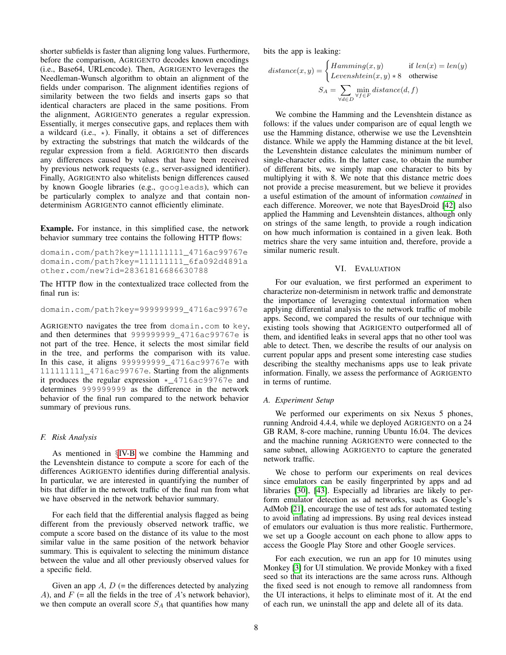shorter subfields is faster than aligning long values. Furthermore, before the comparison, AGRIGENTO decodes known encodings (i.e., Base64, URLencode). Then, AGRIGENTO leverages the Needleman-Wunsch algorithm to obtain an alignment of the fields under comparison. The alignment identifies regions of similarity between the two fields and inserts gaps so that identical characters are placed in the same positions. From the alignment, AGRIGENTO generates a regular expression. Essentially, it merges consecutive gaps, and replaces them with a wildcard (i.e.,  $\star$ ). Finally, it obtains a set of differences by extracting the substrings that match the wildcards of the regular expression from a field. AGRIGENTO then discards any differences caused by values that have been received by previous network requests (e.g., server-assigned identifier). Finally, AGRIGENTO also whitelists benign differences caused by known Google libraries (e.g., googleads), which can be particularly complex to analyze and that contain nondeterminism AGRIGENTO cannot efficiently eliminate.

Example. For instance, in this simplified case, the network behavior summary tree contains the following HTTP flows:

domain.com/path?key=111111111\_4716ac99767e domain.com/path?key=111111111\_6fa092d4891a other.com/new?id=28361816686630788

The HTTP flow in the contextualized trace collected from the final run is:

domain.com/path?key=999999999\_4716ac99767e

AGRIGENTO navigates the tree from domain.com to key, and then determines that 999999999\_4716ac99767e is not part of the tree. Hence, it selects the most similar field in the tree, and performs the comparison with its value. In this case, it aligns 999999999\_4716ac99767e with 111111111\_4716ac99767e. Starting from the alignments it produces the regular expression \*\_4716ac99767e and determines 999999999 as the difference in the network behavior of the final run compared to the network behavior summary of previous runs.

## *F. Risk Analysis*

As mentioned in §[IV-B](#page-4-0) we combine the Hamming and the Levenshtein distance to compute a score for each of the differences AGRIGENTO identifies during differential analysis. In particular, we are interested in quantifying the number of bits that differ in the network traffic of the final run from what we have observed in the network behavior summary.

For each field that the differential analysis flagged as being different from the previously observed network traffic, we compute a score based on the distance of its value to the most similar value in the same position of the network behavior summary. This is equivalent to selecting the minimum distance between the value and all other previously observed values for a specific field.

Given an app  $A, D$  (= the differences detected by analyzing A), and  $F$  (= all the fields in the tree of A's network behavior), we then compute an overall score  $S_A$  that quantifies how many bits the app is leaking:

$$
distance(x, y) = \begin{cases} Hamming(x, y) & \text{if } len(x) = len(y) \\ Levenshtein(x, y) * 8 & \text{otherwise} \end{cases}
$$

$$
S_A = \sum_{\forall d \in D} \min_{\forall f \in F} distance(d, f)
$$

We combine the Hamming and the Levenshtein distance as follows: if the values under comparison are of equal length we use the Hamming distance, otherwise we use the Levenshtein distance. While we apply the Hamming distance at the bit level, the Levenshtein distance calculates the minimum number of single-character edits. In the latter case, to obtain the number of different bits, we simply map one character to bits by multiplying it with 8. We note that this distance metric does not provide a precise measurement, but we believe it provides a useful estimation of the amount of information *contained* in each difference. Moreover, we note that BayesDroid [\[42\]](#page-14-8) also applied the Hamming and Levenshtein distances, although only on strings of the same length, to provide a rough indication on how much information is contained in a given leak. Both metrics share the very same intuition and, therefore, provide a similar numeric result.

#### VI. EVALUATION

<span id="page-7-0"></span>For our evaluation, we first performed an experiment to characterize non-determinism in network traffic and demonstrate the importance of leveraging contextual information when applying differential analysis to the network traffic of mobile apps. Second, we compared the results of our technique with existing tools showing that AGRIGENTO outperformed all of them, and identified leaks in several apps that no other tool was able to detect. Then, we describe the results of our analysis on current popular apps and present some interesting case studies describing the stealthy mechanisms apps use to leak private information. Finally, we assess the performance of AGRIGENTO in terms of runtime.

## *A. Experiment Setup*

We performed our experiments on six Nexus 5 phones, running Android 4.4.4, while we deployed AGRIGENTO on a 24 GB RAM, 8-core machine, running Ubuntu 16.04. The devices and the machine running AGRIGENTO were connected to the same subnet, allowing AGRIGENTO to capture the generated network traffic.

We chose to perform our experiments on real devices since emulators can be easily fingerprinted by apps and ad libraries [\[30\]](#page-14-21), [\[43\]](#page-14-22). Especially ad libraries are likely to perform emulator detection as ad networks, such as Google's AdMob [\[21\]](#page-14-23), encourage the use of test ads for automated testing to avoid inflating ad impressions. By using real devices instead of emulators our evaluation is thus more realistic. Furthermore, we set up a Google account on each phone to allow apps to access the Google Play Store and other Google services.

For each execution, we run an app for 10 minutes using Monkey [\[3\]](#page-13-10) for UI stimulation. We provide Monkey with a fixed seed so that its interactions are the same across runs. Although the fixed seed is not enough to remove all randomness from the UI interactions, it helps to eliminate most of it. At the end of each run, we uninstall the app and delete all of its data.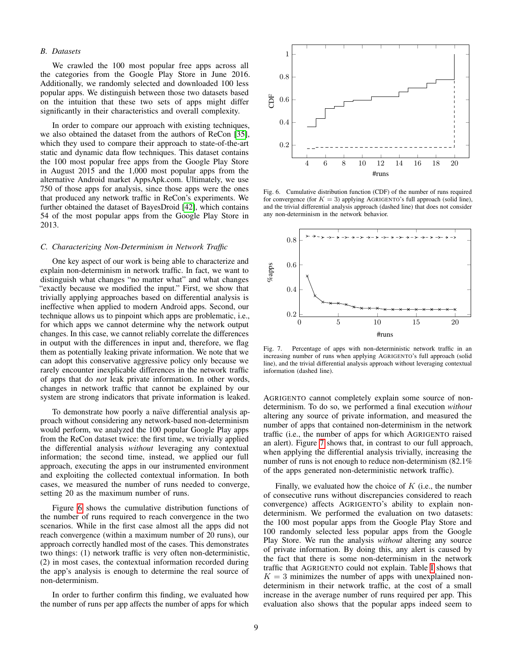## *B. Datasets*

We crawled the 100 most popular free apps across all the categories from the Google Play Store in June 2016. Additionally, we randomly selected and downloaded 100 less popular apps. We distinguish between those two datasets based on the intuition that these two sets of apps might differ significantly in their characteristics and overall complexity.

In order to compare our approach with existing techniques, we also obtained the dataset from the authors of ReCon [\[35\]](#page-14-6), which they used to compare their approach to state-of-the-art static and dynamic data flow techniques. This dataset contains the 100 most popular free apps from the Google Play Store in August 2015 and the 1,000 most popular apps from the alternative Android market AppsApk.com. Ultimately, we use 750 of those apps for analysis, since those apps were the ones that produced any network traffic in ReCon's experiments. We further obtained the dataset of BayesDroid [\[42\]](#page-14-8), which contains 54 of the most popular apps from the Google Play Store in 2013.

#### <span id="page-8-0"></span>*C. Characterizing Non-Determinism in Network Traffic*

One key aspect of our work is being able to characterize and explain non-determinism in network traffic. In fact, we want to distinguish what changes "no matter what" and what changes "exactly because we modified the input." First, we show that trivially applying approaches based on differential analysis is ineffective when applied to modern Android apps. Second, our technique allows us to pinpoint which apps are problematic, i.e., for which apps we cannot determine why the network output changes. In this case, we cannot reliably correlate the differences in output with the differences in input and, therefore, we flag them as potentially leaking private information. We note that we can adopt this conservative aggressive policy only because we rarely encounter inexplicable differences in the network traffic of apps that do *not* leak private information. In other words, changes in network traffic that cannot be explained by our system are strong indicators that private information is leaked.

To demonstrate how poorly a naïve differential analysis approach without considering any network-based non-determinism would perform, we analyzed the 100 popular Google Play apps from the ReCon dataset twice: the first time, we trivially applied the differential analysis *without* leveraging any contextual information; the second time, instead, we applied our full approach, executing the apps in our instrumented environment and exploiting the collected contextual information. In both cases, we measured the number of runs needed to converge, setting 20 as the maximum number of runs.

Figure [6](#page-8-1) shows the cumulative distribution functions of the number of runs required to reach convergence in the two scenarios. While in the first case almost all the apps did not reach convergence (within a maximum number of 20 runs), our approach correctly handled most of the cases. This demonstrates two things: (1) network traffic is very often non-deterministic, (2) in most cases, the contextual information recorded during the app's analysis is enough to determine the real source of non-determinism.

In order to further confirm this finding, we evaluated how the number of runs per app affects the number of apps for which



<span id="page-8-1"></span>Fig. 6. Cumulative distribution function (CDF) of the number of runs required for convergence (for  $K = 3$ ) applying AGRIGENTO's full approach (solid line), and the trivial differential analysis approach (dashed line) that does not consider any non-determinism in the network behavior.



<span id="page-8-2"></span>Fig. 7. Percentage of apps with non-deterministic network traffic in an increasing number of runs when applying AGRIGENTO's full approach (solid line), and the trivial differential analysis approach without leveraging contextual information (dashed line).

AGRIGENTO cannot completely explain some source of nondeterminism. To do so, we performed a final execution *without* altering any source of private information, and measured the number of apps that contained non-determinism in the network traffic (i.e., the number of apps for which AGRIGENTO raised an alert). Figure [7](#page-8-2) shows that, in contrast to our full approach, when applying the differential analysis trivially, increasing the number of runs is not enough to reduce non-determinism  $(82.1\%$ of the apps generated non-deterministic network traffic).

Finally, we evaluated how the choice of  $K$  (i.e., the number of consecutive runs without discrepancies considered to reach convergence) affects AGRIGENTO's ability to explain nondeterminism. We performed the evaluation on two datasets: the 100 most popular apps from the Google Play Store and 100 randomly selected less popular apps from the Google Play Store. We run the analysis *without* altering any source of private information. By doing this, any alert is caused by the fact that there is some non-determinism in the network traffic that AGRIGENTO could not explain. Table [I](#page-9-0) shows that  $K = 3$  minimizes the number of apps with unexplained nondeterminism in their network traffic, at the cost of a small increase in the average number of runs required per app. This evaluation also shows that the popular apps indeed seem to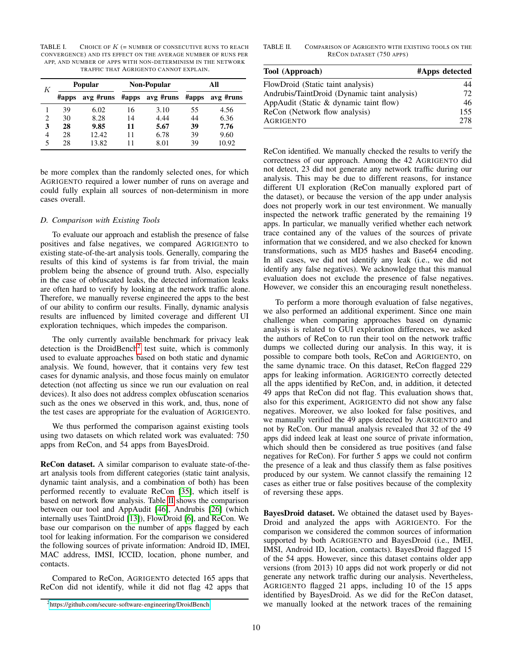<span id="page-9-0"></span>TABLE I. CHOICE OF  $K$  (= NUMBER OF CONSECUTIVE RUNS TO REACH CONVERGENCE) AND ITS EFFECT ON THE AVERAGE NUMBER OF RUNS PER APP, AND NUMBER OF APPS WITH NON-DETERMINISM IN THE NETWORK TRAFFIC THAT AGRIGENTO CANNOT EXPLAIN.

| K |           | <b>Popular</b> |       | Non-Popular | All   |           |  |
|---|-----------|----------------|-------|-------------|-------|-----------|--|
|   | $\#$ apps | avg #runs      | #apps | avg #runs   | #apps | avg #runs |  |
|   | 39        | 6.02           | 16    | 3.10        | 55    | 4.56      |  |
| 2 | 30        | 8.28           | 14    | 4.44        | 44    | 6.36      |  |
| 3 | 28        | 9.85           | 11    | 5.67        | 39    | 7.76      |  |
| 4 | 28        | 12.42.         | 11    | 6.78        | 39    | 9.60      |  |
| 5 | 28        | 13.82          | 11    | 8.01        | 39    | 10.92     |  |

be more complex than the randomly selected ones, for which AGRIGENTO required a lower number of runs on average and could fully explain all sources of non-determinism in more cases overall.

## *D. Comparison with Existing Tools*

To evaluate our approach and establish the presence of false positives and false negatives, we compared AGRIGENTO to existing state-of-the-art analysis tools. Generally, comparing the results of this kind of systems is far from trivial, the main problem being the absence of ground truth. Also, especially in the case of obfuscated leaks, the detected information leaks are often hard to verify by looking at the network traffic alone. Therefore, we manually reverse engineered the apps to the best of our ability to confirm our results. Finally, dynamic analysis results are influenced by limited coverage and different UI exploration techniques, which impedes the comparison.

The only currently available benchmark for privacy leak detection is the DroidBench<sup>[2](#page-9-1)</sup> test suite, which is commonly used to evaluate approaches based on both static and dynamic analysis. We found, however, that it contains very few test cases for dynamic analysis, and those focus mainly on emulator detection (not affecting us since we run our evaluation on real devices). It also does not address complex obfuscation scenarios such as the ones we observed in this work, and, thus, none of the test cases are appropriate for the evaluation of AGRIGENTO.

We thus performed the comparison against existing tools using two datasets on which related work was evaluated: 750 apps from ReCon, and 54 apps from BayesDroid.

ReCon dataset. A similar comparison to evaluate state-of-theart analysis tools from different categories (static taint analysis, dynamic taint analysis, and a combination of both) has been performed recently to evaluate ReCon [\[35\]](#page-14-6), which itself is based on network flow analysis. Table [II](#page-9-2) shows the comparison between our tool and AppAudit [\[46\]](#page-14-0), Andrubis [\[26\]](#page-14-2) (which internally uses TaintDroid [\[13\]](#page-13-1)), FlowDroid [\[6\]](#page-13-0), and ReCon. We base our comparison on the number of apps flagged by each tool for leaking information. For the comparison we considered the following sources of private information: Android ID, IMEI, MAC address, IMSI, ICCID, location, phone number, and contacts.

Compared to ReCon, AGRIGENTO detected 165 apps that ReCon did not identify, while it did not flag 42 apps that <span id="page-9-2"></span>TABLE II. COMPARISON OF AGRIGENTO WITH EXISTING TOOLS ON THE RECON DATASET (750 APPS)

| Tool (Approach)                              | #Apps detected |
|----------------------------------------------|----------------|
| FlowDroid (Static taint analysis)            | 44             |
| Andrubis/TaintDroid (Dynamic taint analysis) | 72.            |
| AppAudit (Static & dynamic taint flow)       | 46             |
| ReCon (Network flow analysis)                | 155            |
| <b>AGRIGENTO</b>                             | 278            |

ReCon identified. We manually checked the results to verify the correctness of our approach. Among the 42 AGRIGENTO did not detect, 23 did not generate any network traffic during our analysis. This may be due to different reasons, for instance different UI exploration (ReCon manually explored part of the dataset), or because the version of the app under analysis does not properly work in our test environment. We manually inspected the network traffic generated by the remaining 19 apps. In particular, we manually verified whether each network trace contained any of the values of the sources of private information that we considered, and we also checked for known transformations, such as MD5 hashes and Base64 encoding. In all cases, we did not identify any leak (i.e., we did not identify any false negatives). We acknowledge that this manual evaluation does not exclude the presence of false negatives. However, we consider this an encouraging result nonetheless.

To perform a more thorough evaluation of false negatives, we also performed an additional experiment. Since one main challenge when comparing approaches based on dynamic analysis is related to GUI exploration differences, we asked the authors of ReCon to run their tool on the network traffic dumps we collected during our analysis. In this way, it is possible to compare both tools, ReCon and AGRIGENTO, on the same dynamic trace. On this dataset, ReCon flagged 229 apps for leaking information. AGRIGENTO correctly detected all the apps identified by ReCon, and, in addition, it detected 49 apps that ReCon did not flag. This evaluation shows that, also for this experiment, AGRIGENTO did not show any false negatives. Moreover, we also looked for false positives, and we manually verified the 49 apps detected by AGRIGENTO and not by ReCon. Our manual analysis revealed that 32 of the 49 apps did indeed leak at least one source of private information, which should then be considered as true positives (and false negatives for ReCon). For further 5 apps we could not confirm the presence of a leak and thus classify them as false positives produced by our system. We cannot classify the remaining 12 cases as either true or false positives because of the complexity of reversing these apps.

BayesDroid dataset. We obtained the dataset used by Bayes-Droid and analyzed the apps with AGRIGENTO. For the comparison we considered the common sources of information supported by both AGRIGENTO and BayesDroid (i.e., IMEI, IMSI, Android ID, location, contacts). BayesDroid flagged 15 of the 54 apps. However, since this dataset contains older app versions (from 2013) 10 apps did not work properly or did not generate any network traffic during our analysis. Nevertheless, AGRIGENTO flagged 21 apps, including 10 of the 15 apps identified by BayesDroid. As we did for the ReCon dataset, we manually looked at the network traces of the remaining

<span id="page-9-1"></span><sup>2</sup>[https://github.com/secure-software-engineering/DroidBench](https://github.com/secure-software- engineering/DroidBench)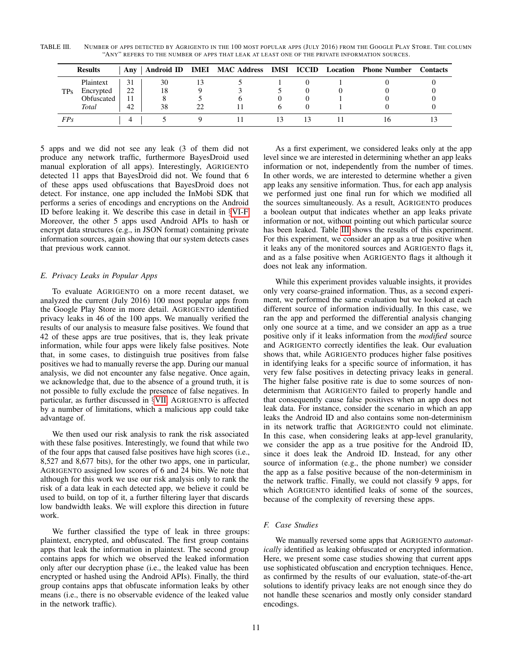<span id="page-10-1"></span>TABLE III. NUMBER OF APPS DETECTED BY AGRIGENTO IN THE 100 MOST POPULAR APPS (JULY 2016) FROM THE GOOGLE PLAY STORE. THE COLUMN "ANY" REFERS TO THE NUMBER OF APPS THAT LEAK AT LEAST ONE OF THE PRIVATE INFORMATION SOURCES.

|     | <b>Results</b> | Anv |    | Android ID IMEI MAC Address IMSI ICCID |  | <b>Location</b> Phone Number | <b>Contacts</b> |
|-----|----------------|-----|----|----------------------------------------|--|------------------------------|-----------------|
| TPs | Plaintext      |     | 30 |                                        |  |                              |                 |
|     | Encrypted      | 22  | 18 |                                        |  |                              |                 |
|     | Obfuscated     |     |    |                                        |  |                              |                 |
|     | Total          | 42  | 38 |                                        |  |                              |                 |
| FPs |                |     |    |                                        |  |                              |                 |

5 apps and we did not see any leak (3 of them did not produce any network traffic, furthermore BayesDroid used manual exploration of all apps). Interestingly, AGRIGENTO detected 11 apps that BayesDroid did not. We found that 6 of these apps used obfuscations that BayesDroid does not detect. For instance, one app included the InMobi SDK that performs a series of encodings and encryptions on the Android ID before leaking it. We describe this case in detail in §[VI-F.](#page-10-0) Moreover, the other 5 apps used Android APIs to hash or encrypt data structures (e.g., in JSON format) containing private information sources, again showing that our system detects cases that previous work cannot.

# *E. Privacy Leaks in Popular Apps*

To evaluate AGRIGENTO on a more recent dataset, we analyzed the current (July 2016) 100 most popular apps from the Google Play Store in more detail. AGRIGENTO identified privacy leaks in 46 of the 100 apps. We manually verified the results of our analysis to measure false positives. We found that 42 of these apps are true positives, that is, they leak private information, while four apps were likely false positives. Note that, in some cases, to distinguish true positives from false positives we had to manually reverse the app. During our manual analysis, we did not encounter any false negative. Once again, we acknowledge that, due to the absence of a ground truth, it is not possible to fully exclude the presence of false negatives. In particular, as further discussed in §[VII,](#page-11-0) AGRIGENTO is affected by a number of limitations, which a malicious app could take advantage of.

We then used our risk analysis to rank the risk associated with these false positives. Interestingly, we found that while two of the four apps that caused false positives have high scores (i.e., 8,527 and 8,677 bits), for the other two apps, one in particular, AGRIGENTO assigned low scores of 6 and 24 bits. We note that although for this work we use our risk analysis only to rank the risk of a data leak in each detected app, we believe it could be used to build, on top of it, a further filtering layer that discards low bandwidth leaks. We will explore this direction in future work.

We further classified the type of leak in three groups: plaintext, encrypted, and obfuscated. The first group contains apps that leak the information in plaintext. The second group contains apps for which we observed the leaked information only after our decryption phase (i.e., the leaked value has been encrypted or hashed using the Android APIs). Finally, the third group contains apps that obfuscate information leaks by other means (i.e., there is no observable evidence of the leaked value in the network traffic).

As a first experiment, we considered leaks only at the app level since we are interested in determining whether an app leaks information or not, independently from the number of times. In other words, we are interested to determine whether a given app leaks any sensitive information. Thus, for each app analysis we performed just one final run for which we modified all the sources simultaneously. As a result, AGRIGENTO produces a boolean output that indicates whether an app leaks private information or not, without pointing out which particular source has been leaked. Table [III](#page-10-1) shows the results of this experiment. For this experiment, we consider an app as a true positive when it leaks any of the monitored sources and AGRIGENTO flags it, and as a false positive when AGRIGENTO flags it although it does not leak any information.

While this experiment provides valuable insights, it provides only very coarse-grained information. Thus, as a second experiment, we performed the same evaluation but we looked at each different source of information individually. In this case, we ran the app and performed the differential analysis changing only one source at a time, and we consider an app as a true positive only if it leaks information from the *modified* source and AGRIGENTO correctly identifies the leak. Our evaluation shows that, while AGRIGENTO produces higher false positives in identifying leaks for a specific source of information, it has very few false positives in detecting privacy leaks in general. The higher false positive rate is due to some sources of nondeterminism that AGRIGENTO failed to properly handle and that consequently cause false positives when an app does not leak data. For instance, consider the scenario in which an app leaks the Android ID and also contains some non-determinism in its network traffic that AGRIGENTO could not eliminate. In this case, when considering leaks at app-level granularity, we consider the app as a true positive for the Android ID, since it does leak the Android ID. Instead, for any other source of information (e.g., the phone number) we consider the app as a false positive because of the non-determinism in the network traffic. Finally, we could not classify 9 apps, for which AGRIGENTO identified leaks of some of the sources, because of the complexity of reversing these apps.

# <span id="page-10-0"></span>*F. Case Studies*

We manually reversed some apps that AGRIGENTO *automatically* identified as leaking obfuscated or encrypted information. Here, we present some case studies showing that current apps use sophisticated obfuscation and encryption techniques. Hence, as confirmed by the results of our evaluation, state-of-the-art solutions to identify privacy leaks are not enough since they do not handle these scenarios and mostly only consider standard encodings.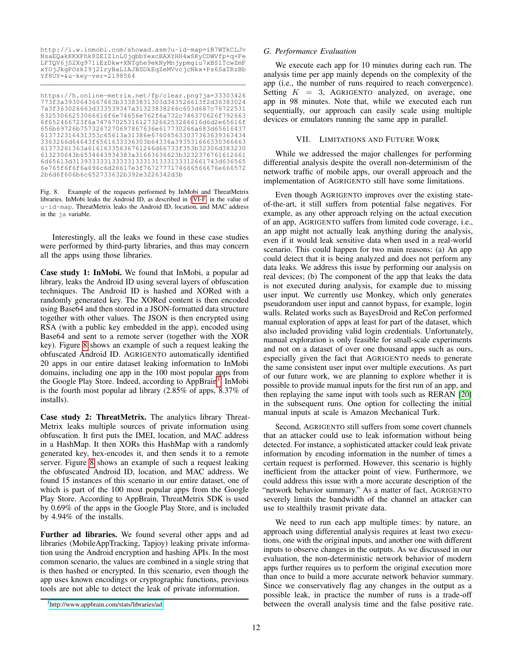http://i.w.inmobi.com/showad.asm?u-id-map=iB7WTkCLJv NsaEQakKKXFhk8ZEIZlnL0jqbbYexcBAXYHH4wSKyCDWVfp+q+Fe LFTQV6jS2Xg97liEzDkw+XNTghe9ekNyMnjypmgiu7xBS1TcwZmF xYOjJkgPOzkI9j2lryBaLlAJBSDkEqZeMVvcjcNkx+Ps6SaTRzBb Yf8UY=&u-key-ver=2198564 \_\_\_\_\_\_\_\_\_\_\_\_\_\_\_\_\_\_\_\_\_\_\_\_\_\_\_\_\_\_\_\_\_\_\_\_\_\_\_\_\_\_\_\_\_\_\_\_\_\_\_\_

https://h.online-metrix.net/fp/clear.png?ja=33303426 773f3a3930643667663b33383831303d343526613f2d36383024 7a3f363026663d333539347a31323838266c603d687c76722531 63253066253066616f6e74656e762f6a732c746370626f792663 6f652466723f6a747670253161273266253266616d6d2e65616f 656b69726b7573267270697867636e617730266a683d65616437 613732316431353c65613a31386e676065633037363639363434 3363266d64643f6561633336303b64336a393531666330366663 61373261363a61616335636761266d66733f353b32306d383230 613230643b6534643934383a31663636623b3232376761612661 6d65613d3139333331333331333131333133312661743d636565 6e765f6f6f6a696c6d26617e3f7672777174666566676e666572 2b6d6f606b6c652733632b392e3226342d3b

<span id="page-11-1"></span>Fig. 8. Example of the requests performed by InMobi and ThreatMetrix libraries. InMobi leaks the Android ID, as described in §[VI-F,](#page-10-0) in the value of u-id-map. ThreatMetrix leaks the Android ID, location, and MAC address in the ja variable.

Interestingly, all the leaks we found in these case studies were performed by third-party libraries, and thus may concern all the apps using those libraries.

Case study 1: InMobi. We found that InMobi, a popular ad library, leaks the Android ID using several layers of obfuscation techniques. The Android ID is hashed and XORed with a randomly generated key. The XORed content is then encoded using Base64 and then stored in a JSON-formatted data structure together with other values. The JSON is then encrypted using RSA (with a public key embedded in the app), encoded using Base64 and sent to a remote server (together with the XOR key). Figure [8](#page-11-1) shows an example of such a request leaking the obfuscated Android ID. AGRIGENTO automatically identified 20 apps in our entire dataset leaking information to InMobi domains, including one app in the 100 most popular apps from the Google Play Store. Indeed, according to AppBrain<sup>[3](#page-11-2)</sup>, InMobi is the fourth most popular ad library (2.85% of apps, 8.37% of installs).

Case study 2: ThreatMetrix. The analytics library Threat-Metrix leaks multiple sources of private information using obfuscation. It first puts the IMEI, location, and MAC address in a HashMap. It then XORs this HashMap with a randomly generated key, hex-encodes it, and then sends it to a remote server. Figure [8](#page-11-1) shows an example of such a request leaking the obfuscated Android ID, location, and MAC address. We found 15 instances of this scenario in our entire dataset, one of which is part of the 100 most popular apps from the Google Play Store. According to AppBrain, ThreatMetrix SDK is used by 0.69% of the apps in the Google Play Store, and is included by 4.94% of the installs.

Further ad libraries. We found several other apps and ad libraries (MobileAppTracking, Tapjoy) leaking private information using the Android encryption and hashing APIs. In the most common scenario, the values are combined in a single string that is then hashed or encrypted. In this scenario, even though the app uses known encodings or cryptographic functions, previous tools are not able to detect the leak of private information.

#### *G. Performance Evaluation*

We execute each app for 10 minutes during each run. The analysis time per app mainly depends on the complexity of the app (i.e., the number of runs required to reach convergence). Setting  $K = 3$ , AGRIGENTO analyzed, on average, one app in 98 minutes. Note that, while we executed each run sequentially, our approach can easily scale using multiple devices or emulators running the same app in parallel.

#### VII. LIMITATIONS AND FUTURE WORK

<span id="page-11-0"></span>While we addressed the major challenges for performing differential analysis despite the overall non-determinism of the network traffic of mobile apps, our overall approach and the implementation of AGRIGENTO still have some limitations.

Even though AGRIGENTO improves over the existing stateof-the-art, it still suffers from potential false negatives. For example, as any other approach relying on the actual execution of an app, AGRIGENTO suffers from limited code coverage, i.e., an app might not actually leak anything during the analysis, even if it would leak sensitive data when used in a real-world scenario. This could happen for two main reasons: (a) An app could detect that it is being analyzed and does not perform any data leaks. We address this issue by performing our analysis on real devices; (b) The component of the app that leaks the data is not executed during analysis, for example due to missing user input. We currently use Monkey, which only generates pseudorandom user input and cannot bypass, for example, login walls. Related works such as BayesDroid and ReCon performed manual exploration of apps at least for part of the dataset, which also included providing valid login credentials. Unfortunately, manual exploration is only feasible for small-scale experiments and not on a dataset of over one thousand apps such as ours, especially given the fact that AGRIGENTO needs to generate the same consistent user input over multiple executions. As part of our future work, we are planning to explore whether it is possible to provide manual inputs for the first run of an app, and then replaying the same input with tools such as RERAN [\[20\]](#page-14-24) in the subsequent runs. One option for collecting the initial manual inputs at scale is Amazon Mechanical Turk.

Second, AGRIGENTO still suffers from some covert channels that an attacker could use to leak information without being detected. For instance, a sophisticated attacker could leak private information by encoding information in the number of times a certain request is performed. However, this scenario is highly inefficient from the attacker point of view. Furthermore, we could address this issue with a more accurate description of the "network behavior summary." As a matter of fact, AGRIGENTO severely limits the bandwidth of the channel an attacker can use to stealthily trasmit private data.

We need to run each app multiple times: by nature, an approach using differential analysis requires at least two executions, one with the original inputs, and another one with different inputs to observe changes in the outputs. As we discussed in our evaluation, the non-deterministic network behavior of modern apps further requires us to perform the original execution more than once to build a more accurate network behavior summary. Since we conservatively flag any changes in the output as a possible leak, in practice the number of runs is a trade-off between the overall analysis time and the false positive rate.

<span id="page-11-2"></span><sup>3</sup><http://www.appbrain.com/stats/libraries/ad>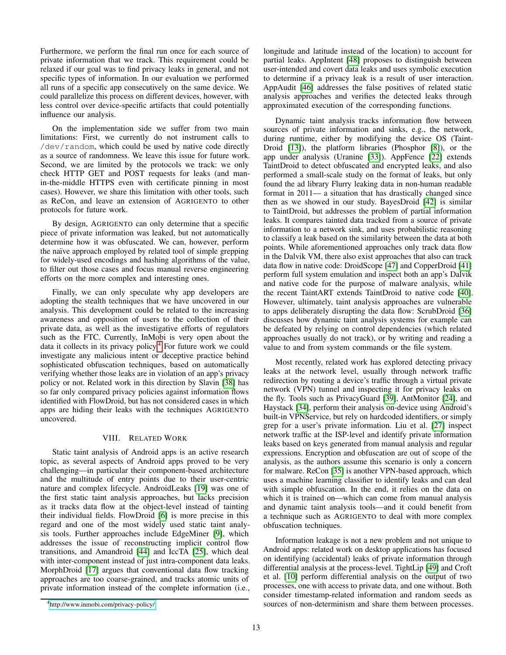Furthermore, we perform the final run once for each source of private information that we track. This requirement could be relaxed if our goal was to find privacy leaks in general, and not specific types of information. In our evaluation we performed all runs of a specific app consecutively on the same device. We could parallelize this process on different devices, however, with less control over device-specific artifacts that could potentially influence our analysis.

On the implementation side we suffer from two main limitations: First, we currently do not instrument calls to /dev/random, which could be used by native code directly as a source of randomness. We leave this issue for future work. Second, we are limited by the protocols we track: we only check HTTP GET and POST requests for leaks (and manin-the-middle HTTPS even with certificate pinning in most cases). However, we share this limitation with other tools, such as ReCon, and leave an extension of AGRIGENTO to other protocols for future work.

By design, AGRIGENTO can only determine that a specific piece of private information was leaked, but not automatically determine how it was obfuscated. We can, however, perform the naïve approach employed by related tool of simple grepping for widely-used encodings and hashing algorithms of the value, to filter out those cases and focus manual reverse engineering efforts on the more complex and interesting ones.

Finally, we can only speculate why app developers are adopting the stealth techniques that we have uncovered in our analysis. This development could be related to the increasing awareness and opposition of users to the collection of their private data, as well as the investigative efforts of regulators such as the FTC. Currently, InMobi is very open about the data it collects in its privacy policy.[4](#page-12-0) For future work we could investigate any malicious intent or deceptive practice behind sophisticated obfuscation techniques, based on automatically verifying whether those leaks are in violation of an app's privacy policy or not. Related work in this direction by Slavin [\[38\]](#page-14-25) has so far only compared privacy policies against information flows identified with FlowDroid, but has not considered cases in which apps are hiding their leaks with the techniques AGRIGENTO uncovered.

## VIII. RELATED WORK

Static taint analysis of Android apps is an active research topic, as several aspects of Android apps proved to be very challenging—in particular their component-based architecture and the multitude of entry points due to their user-centric nature and complex lifecycle. AndroidLeaks [\[19\]](#page-14-26) was one of the first static taint analysis approaches, but lacks precision as it tracks data flow at the object-level instead of tainting their individual fields. FlowDroid [\[6\]](#page-13-0) is more precise in this regard and one of the most widely used static taint analysis tools. Further approaches include EdgeMiner [\[9\]](#page-13-2), which addresses the issue of reconstructing implicit control flow transitions, and Amandroid [\[44\]](#page-14-27) and IccTA [\[25\]](#page-14-28), which deal with inter-component instead of just intra-component data leaks. MorphDroid [\[17\]](#page-14-9) argues that conventional data flow tracking approaches are too coarse-grained, and tracks atomic units of private information instead of the complete information (i.e., longitude and latitude instead of the location) to account for partial leaks. AppIntent [\[48\]](#page-14-29) proposes to distinguish between user-intended and covert data leaks and uses symbolic execution to determine if a privacy leak is a result of user interaction. AppAudit [\[46\]](#page-14-0) addresses the false positives of related static analysis approaches and verifies the detected leaks through approximated execution of the corresponding functions.

Dynamic taint analysis tracks information flow between sources of private information and sinks, e.g., the network, during runtime, either by modifying the device OS (Taint-Droid [\[13\]](#page-13-1)), the platform libraries (Phosphor [\[8\]](#page-13-11)), or the app under analysis (Uranine [\[33\]](#page-14-30)). AppFence [\[22\]](#page-14-31) extends TaintDroid to detect obfuscated and encrypted leaks, and also performed a small-scale study on the format of leaks, but only found the ad library Flurry leaking data in non-human readable format in 2011— a situation that has drastically changed since then as we showed in our study. BayesDroid [\[42\]](#page-14-8) is similar to TaintDroid, but addresses the problem of partial information leaks. It compares tainted data tracked from a source of private information to a network sink, and uses probabilistic reasoning to classify a leak based on the similarity between the data at both points. While aforementioned approaches only track data flow in the Dalvik VM, there also exist approaches that also can track data flow in native code: DroidScope [\[47\]](#page-14-32) and CopperDroid [\[41\]](#page-14-33) perform full system emulation and inspect both an app's Dalvik and native code for the purpose of malware analysis, while the recent TaintART extends TaintDroid to native code [\[40\]](#page-14-34). However, ultimately, taint analysis approaches are vulnerable to apps deliberately disrupting the data flow: ScrubDroid [\[36\]](#page-14-1) discusses how dynamic taint analysis systems for example can be defeated by relying on control dependencies (which related approaches usually do not track), or by writing and reading a value to and from system commands or the file system.

Most recently, related work has explored detecting privacy leaks at the network level, usually through network traffic redirection by routing a device's traffic through a virtual private network (VPN) tunnel and inspecting it for privacy leaks on the fly. Tools such as PrivacyGuard [\[39\]](#page-14-7), AntMonitor [\[24\]](#page-14-3), and Haystack [\[34\]](#page-14-5), perform their analysis on-device using Android's built-in VPNService, but rely on hardcoded identifiers, or simply grep for a user's private information. Liu et al. [\[27\]](#page-14-4) inspect network traffic at the ISP-level and identify private information leaks based on keys generated from manual analysis and regular expressions. Encryption and obfuscation are out of scope of the analysis, as the authors assume this scenario is only a concern for malware. ReCon [\[35\]](#page-14-6) is another VPN-based approach, which uses a machine learning classifier to identify leaks and can deal with simple obfuscation. In the end, it relies on the data on which it is trained on—which can come from manual analysis and dynamic taint analysis tools—and it could benefit from a technique such as AGRIGENTO to deal with more complex obfuscation techniques.

Information leakage is not a new problem and not unique to Android apps: related work on desktop applications has focused on identifying (accidental) leaks of private information through differential analysis at the process-level. TightLip [\[49\]](#page-14-35) and Croft et al. [\[10\]](#page-13-12) perform differential analysis on the output of two processes, one with access to private data, and one without. Both consider timestamp-related information and random seeds as sources of non-determinism and share them between processes.

<span id="page-12-0"></span><sup>4</sup><http://www.inmobi.com/privacy-policy/>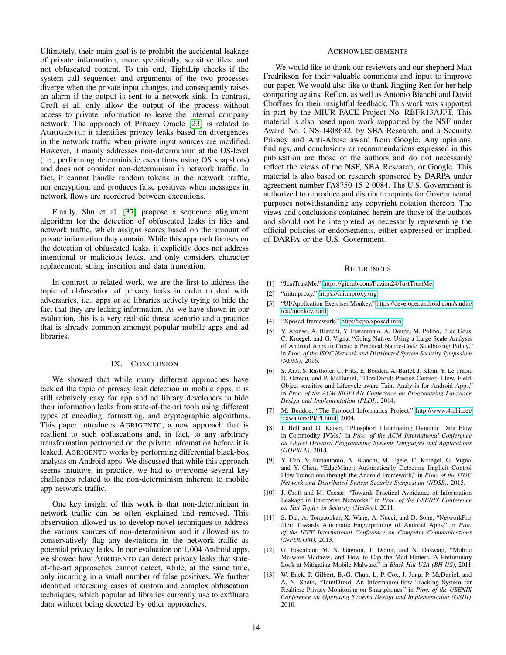Ultimately, their main goal is to prohibit the accidental leakage of private information, more specifically, sensitive files, and not obfuscated content. To this end, TightLip checks if the system call sequences and arguments of the two processes diverge when the private input changes, and consequently raises an alarm if the output is sent to a network sink. In contrast, Croft et al. only allow the output of the process without access to private information to leave the internal company network. The approach of Privacy Oracle [\[23\]](#page-14-10) is related to AGRIGENTO: it identifies privacy leaks based on divergences in the network traffic when private input sources are modified. However, it mainly addresses non-determinism at the OS-level (i.e., performing deterministic executions using OS snapshots) and does not consider non-determinism in network traffic. In fact, it cannot handle random tokens in the network traffic, nor encryption, and produces false positives when messages in network flows are reordered between executions.

Finally, Shu et al. [\[37\]](#page-14-36) propose a sequence alignment algorithm for the detection of obfuscated leaks in files and network traffic, which assigns scores based on the amount of private information they contain. While this approach focuses on the detection of obfuscated leaks, it explicitly does not address intentional or malicious leaks, and only considers character replacement, string insertion and data truncation.

In contrast to related work, we are the first to address the topic of obfuscation of privacy leaks in order to deal with adversaries, i.e., apps or ad libraries actively trying to hide the fact that they are leaking information. As we have shown in our evaluation, this is a very realistic threat scenario and a practice that is already common amongst popular mobile apps and ad libraries.

## IX. CONCLUSION

We showed that while many different approaches have tackled the topic of privacy leak detection in mobile apps, it is still relatively easy for app and ad library developers to hide their information leaks from state-of-the-art tools using different types of encoding, formatting, and cryptographic algorithms. This paper introduces AGRIGENTO, a new approach that is resilient to such obfuscations and, in fact, to any arbitrary transformation performed on the private information before it is leaked. AGRIGENTO works by performing differential black-box analysis on Android apps. We discussed that while this approach seems intuitive, in practice, we had to overcome several key challenges related to the non-determinism inherent to mobile app network traffic.

One key insight of this work is that non-determinism in network traffic can be often explained and removed. This observation allowed us to develop novel techniques to address the various sources of non-determinism and it allowed us to conservatively flag any deviations in the network traffic as potential privacy leaks. In our evaluation on 1,004 Android apps, we showed how AGRIGENTO can detect privacy leaks that stateof-the-art approaches cannot detect, while, at the same time, only incurring in a small number of false positives. We further identified interesting cases of custom and complex obfuscation techniques, which popular ad libraries currently use to exfiltrate data without being detected by other approaches.

#### ACKNOWLEDGEMENTS

We would like to thank our reviewers and our shepherd Matt Fredrikson for their valuable comments and input to improve our paper. We would also like to thank Jingjing Ren for her help comparing against ReCon, as well as Antonio Bianchi and David Choffnes for their insightful feedback. This work was supported in part by the MIUR FACE Project No. RBFR13AJFT. This material is also based upon work supported by the NSF under Award No. CNS-1408632, by SBA Research, and a Security, Privacy and Anti-Abuse award from Google. Any opinions, findings, and conclusions or recommendations expressed in this publication are those of the authors and do not necessarily reflect the views of the NSF, SBA Research, or Google. This material is also based on research sponsored by DARPA under agreement number FA8750-15-2-0084. The U.S. Government is authorized to reproduce and distribute reprints for Governmental purposes notwithstanding any copyright notation thereon. The views and conclusions contained herein are those of the authors and should not be interpreted as necessarily representing the official policies or endorsements, either expressed or implied, of DARPA or the U.S. Government.

#### **REFERENCES**

- <span id="page-13-8"></span>[1] "JustTrustMe," [https://github.com/Fuzion24/JustTrustMe.](https://github.com/Fuzion24/JustTrustMe)
- <span id="page-13-7"></span>[2] "mitmproxy," [https://mitmproxy.org.](https://mitmproxy.org)
- <span id="page-13-10"></span>[3] "UI/Application Exerciser Monkey," [https://developer.android.com/studio/](https://developer.android.com/studio/test/monkey.html) [test/monkey.html.](https://developer.android.com/studio/test/monkey.html)
- <span id="page-13-6"></span>[4] "Xposed framework," [http://repo.xposed.info.](http://repo.xposed.info)
- <span id="page-13-3"></span>[5] V. Afonso, A. Bianchi, Y. Fratantonio, A. Doupe, M. Polino, P. de Geus, C. Kruegel, and G. Vigna, "Going Native: Using a Large-Scale Analysis of Android Apps to Create a Practical Native-Code Sandboxing Policy," in *Proc. of the ISOC Network and Distributed System Security Symposium (NDSS)*, 2016.
- <span id="page-13-0"></span>[6] S. Arzt, S. Rasthofer, C. Fritz, E. Bodden, A. Bartel, J. Klein, Y. Le Traon, D. Octeau, and P. McDaniel, "FlowDroid: Precise Context, Flow, Field, Object-sensitive and Lifecycle-aware Taint Analysis for Android Apps," in *Proc. of the ACM SIGPLAN Conference on Programming Language Design and Implementation (PLDI)*, 2014.
- <span id="page-13-5"></span>[7] M. Beddoe, "The Protocol Informatics Project," [http://www.4tphi.net/](http://www.4tphi.net/~awalters/PI/PI.html) ∼[awalters/PI/PI.html,](http://www.4tphi.net/~awalters/PI/PI.html) 2004.
- <span id="page-13-11"></span>[8] J. Bell and G. Kaiser, "Phosphor: Illuminating Dynamic Data Flow in Commodity JVMs," in *Proc. of the ACM International Conference on Object Oriented Programming Systems Languages and Applications (OOPSLA)*, 2014.
- <span id="page-13-2"></span>[9] Y. Cao, Y. Fratantonio, A. Bianchi, M. Egele, C. Kruegel, G. Vigna, and Y. Chen, "EdgeMiner: Automatically Detecting Implicit Control Flow Transitions through the Android Framework," in *Proc. of the ISOC Network and Distributed System Security Symposium (NDSS)*, 2015.
- <span id="page-13-12"></span>[10] J. Croft and M. Caesar, "Towards Practical Avoidance of Information Leakage in Enterprise Networks," in *Proc. of the USENIX Conference on Hot Topics in Security (HotSec)*, 2011.
- <span id="page-13-9"></span>[11] S. Dai, A. Tongaonkar, X. Wang, A. Nucci, and D. Song, "NetworkProfiler: Towards Automatic Fingerprinting of Android Apps," in *Proc. of the IEEE International Conference on Computer Communications (INFOCOM)*, 2013.
- <span id="page-13-4"></span>[12] G. Eisenhaur, M. N. Gagnon, T. Demir, and N. Daswani, "Mobile Malware Madness, and How to Cap the Mad Hatters. A Preliminary Look at Mitigating Mobile Malware," in *Black Hat USA (BH-US)*, 2011.
- <span id="page-13-1"></span>[13] W. Enck, P. Gilbert, B.-G. Chun, L. P. Cox, J. Jung, P. McDaniel, and A. N. Sheth, "TaintDroid: An Information-flow Tracking System for Realtime Privacy Monitoring on Smartphones," in *Proc. of the USENIX Conference on Operating Systems Design and Implementation (OSDI)*, 2010.